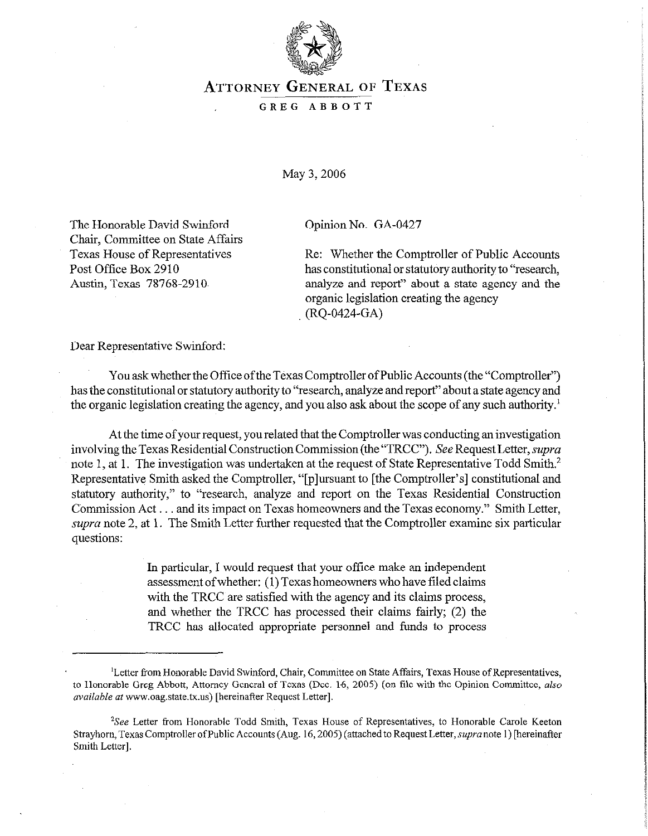

## **ATTORNEY GENERAL** OF **TEXAS**

## GREG ABBOTT

May 3,2006

The Honorable David Swinford Chair, Committee on State Affairs Texas House of Representatives Post Office Box 2910 Austin, Texas 78768-2910,

Opinion No. GA-0427

Re: Whether the Comptroller of Public Accounts has constitutional or statutory authority to "research, analyze and report" about a state agency and the organic legislation creating the agency (RQ-0424-GA)

Dear Representative Swinford:

You ask whether the Office of the Texas Comptroller of Public Accounts (the "Comptroller") has the constitutional or statutory authority to "research, analyze and report" about a state agency and the organic legislation creating the agency, and you also ask about the scope of any such authority.'

At the time of your request, you related that the Comptroller was conducting an investigation involving the Texas Residential Construction Commission (the "TRCC"). See Request Letter, supra note 1, at 1. The investigation was undertaken at the request of State Representative Todd Smith.<sup>2</sup> Representative Smith asked the Comptroller, "[p]ursuant to [the Comptroller's] constitutional and statutory authority," to "research, analyze and report on the Texas Residential Construction Commission Act . . . and its impact on Texas homeowners and the Texas economy." Smith Letter, supra note 2, at 1. The Smith Letter further requested that the Comptroller examine six particular questions:

> In particular, I would request that your office make an independent assessment of whether: (1) Texas homeowners who have filed claims with the TRCC are satisfied with the agency and its claims process, and whether the TRCC has processed their claims fairly; (2) the TRCC has allocated appropriate personnel and funds to process

<sup>&</sup>lt;sup>1</sup>Letter from Honorable David Swinford, Chair, Committee on State Affairs, Texas House of Representatives, to Honorable Greg Abbott, Attorney General of Texas (Dec. 16, 2005) (on file with the Opinion Committee, also *available* at www.oag.state.tx.us) [hereinafter Request Letter].

<sup>&</sup>lt;sup>2</sup>See Letter from Honorable Todd Smith, Texas House of Representatives, to Honorable Carole Keeton Strayhorn, Texas Comptroller of Public Accounts (Aug. 16, 2005) (attached to Request Letter, supra note 1) [hereinafter Smith Letter].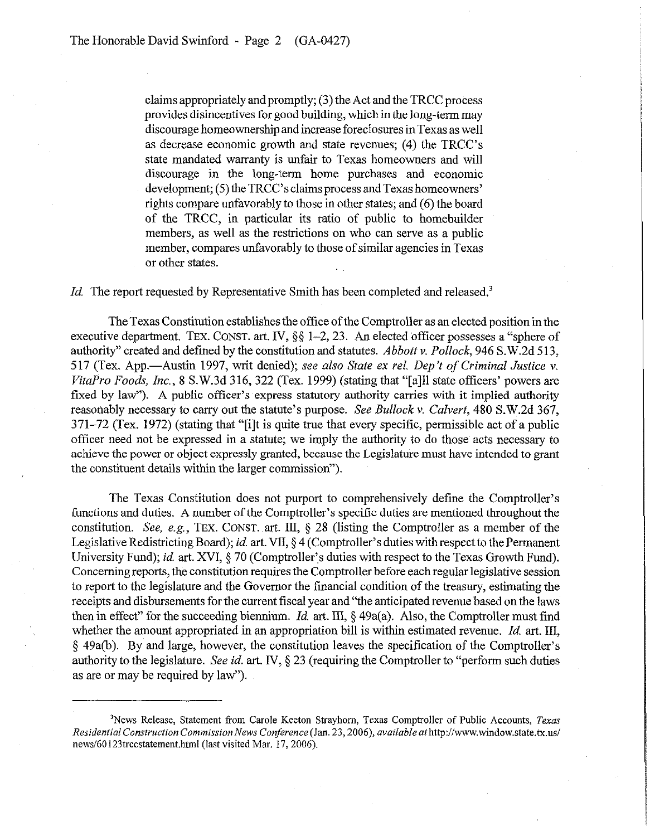claims appropriately and promptly;  $(3)$  the Act and the TRCC process provides disincentives for good building, which in the long-term may discourage homeownership and increase foreclosures in Texas as well as decrease economic growth and state revenues; (4) the TRCC's state mandated warranty is unfair to Texas homeowners and will discourage in the long-term home purchases and economic development; (5) the TRCC's claims process and Texas homeowners' rights compare unfavorably to those in other states; and (6) the board of the TRCC, in particular its ratio of public to homebuilder members, as well as the restrictions on who can serve as a public member, compares unfavorably to those of similar agencies in Texas or other states.

Id. The report requested by Representative Smith has been completed and released.<sup>3</sup>

The Texas Constitution establishes the office of the Comptroller as an elected position in the executive department. TEX. CONST. art. IV, §§ 1-2, 23. An elected officer possesses a "sphere of authority" created and defined by the constitution and statutes. *Abbottv. Pollock, 946* S.W.2d 513, 517 (Tex. App.-Austin 1997, writ denied); *see also State ex rel. Dep't of Criminal Justice v. VitaPro* Foods, *Inc.,* 8 S.W.3d 316, 322 (Tex. 1999) (stating that "[a]11 state officers' powers are fixed by law"). A public officer's express statutory authority carries with it implied authority reasonably necessary to carry out the statute's purpose. See *Bullock v. Culvert, 480* S.W.2d 367, 371-72 (Tex. 1972) (stating that "[i]t is quite true that every specific, permissible act of a public officer need not be expressed in a statute; we imply the authority to do those acts necessary to achieve the power or object expressly granted, because the Legislature must have intended to grant the constituent details within the larger commission").

The Texas Constitution does not purport to comprehensively define the Comptroller's functions and duties. A number of the Comptroller's specific duties are mentioned throughout the constitution. See, e.g., TEX. **CONST.** art. III, § 28 (listing the Comptroller as a member of the Legislative Redistricting Board); *id.* art. VII, § 4 (Comptroller's duties with respect to the Permanent University Fund); *id.* art. XVI, § 70 (Comptroller's duties with respect to the Texas Growth Fund). Concerning reports, the constitution requires the Comptroller before each regular legislative session to report to the legislature and the Governor the financial condition of the treasury, estimating the receipts and disbursements for the current fiscal year and "the anticipated revenue based on the laws then in effect" for the succeeding biennium. *Id.* art. III, § 49a(a). Also, the Comptroller must find whether the amount appropriated in an appropriation bill is within estimated revenue. Id. art. III, 5 49a(b). By and large, however, the constitution leaves the specification of the Comptroller's authority to the legislature. See *id.* art. IV, § 23 (requiring the Comptroller to "perform such duties as are or may be required by law").

<sup>&</sup>lt;sup>3</sup>News Release, Statement from Carole Keeton Strayhorn, Texas Comptroller of Public Accounts, Texas *Residential Construction Commission News Conference* (Jan. 23,2006), *available* athttp://www.window.state.tx.us/ news/60123trccstatement.html (last visited Mar. 17, 2006).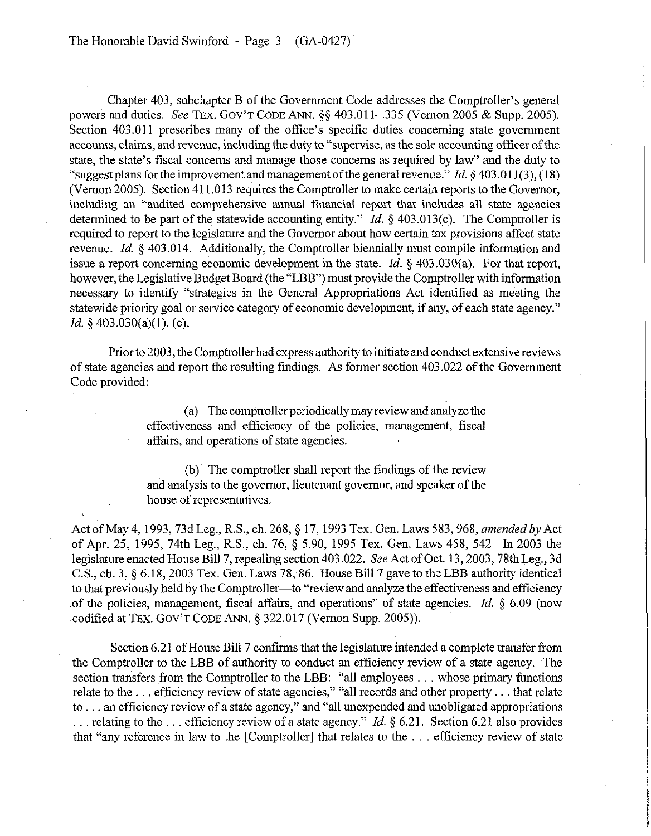Chapter 403, subchapter B of the Government Code addresses the Comptroller's general powers and duties. See TEX. GOV'T CODE ANN. §§ 403.011-.335 (Vernon 2005 & Supp. 2005). Section 403.011 prescribes many of the office's specific duties concerning state government accounts, claims, and revenue, including the duty to "supervise, as the sole accounting officer of the state, the state's fiscal concerns and manage those concerns as required by law" and the duty to "suggest plans for the improvement and management of the general revenue." *Id. 5 403.0* 11(3), (18) (Vernon 2005). Section 411 ,013 requires the Comptroller to make certain reports to the Governor, including an "audited comprehensive annual financial report that includes all state agencies determined to be part of the statewide accounting entity." *Id.*  $\S$  403.013(c). The Comptroller is required to report to the legislature and the Governor about how certain tax provisions affect state revenue. *Id.* 5 403.014. Additionally, the Comptroller biennially must compile information and issue a report concerning economic development in the state. *Id.* 5 403.030(a). For that report, however, the Legislative Budget Board (the "LBB") must provide the Comptroller with information necessary to identify "strategies in the General Appropriations Act identified as meeting the statewide priority goal or service category of economic development, if any, of each state agency." *Id.* § 403.030(a)(1), (c).

Prior to 2003, the Comptroller had express authority to initiate and conduct extensive reviews of state agencies and report the resulting findings. As former section 403.022 of the Government Code provided:

> (a) The comptroller periodically may review and analyze the effectiveness and efficiency of the policies, management, fiscal affairs, and operations of state agencies.

> (b) The comptroller shall report the findings of the review and analysis to the governor, lieutenant governor, and speaker of the house of representatives.

Act of May 4, 1993, 73d Leg., R.S., ch. 268, § 17, 1993 Tex. Gen. Laws 583, 968, *amended by* Act of Apr. 25, 1995, 74th Leg., R.S., ch. 76, 5 5.90, 1995 Tex. Gen. Laws 458, 542. In 2003 the legislature enacted House Bill 7, repealing section 403.022. See Act of Oct. 13,2003,7&h Leg., 3d C.S., ch. 3, § 6.18, 2003 Tex. Gen. Laws 78, 86. House Bill 7 gave to the LBB authority identical to that previously held by the Comptroller—to "review and analyze the effectiveness and efficiency of the policies, management, fiscal affairs, and operations" of state agencies. *Id. 5 6.09* (now codified at TEX. GOV'T CODE ANN. § 322.017 (Vernon Supp. 2005)).

Section 6.21 of House Bill 7 confirms that the legislature intended a complete transfer from the Comptroller to the LBB of authority to conduct an efficiency review of a state agency. The section transfers from the Comptroller to the LBB: "all employees ... whose primary functions relate to the ... efficiency review of state agencies," "all records and other property ... that relate to ... an efficiency review of a state agency," and "all unexpended and unobligated appropriations ... relating to the ... efficiency review of a state agency." *Id.* § 6.21. Section 6.21 also provides that "any reference in law to the  $[Computer]$  that relates to the  $\ldots$  efficiency review of state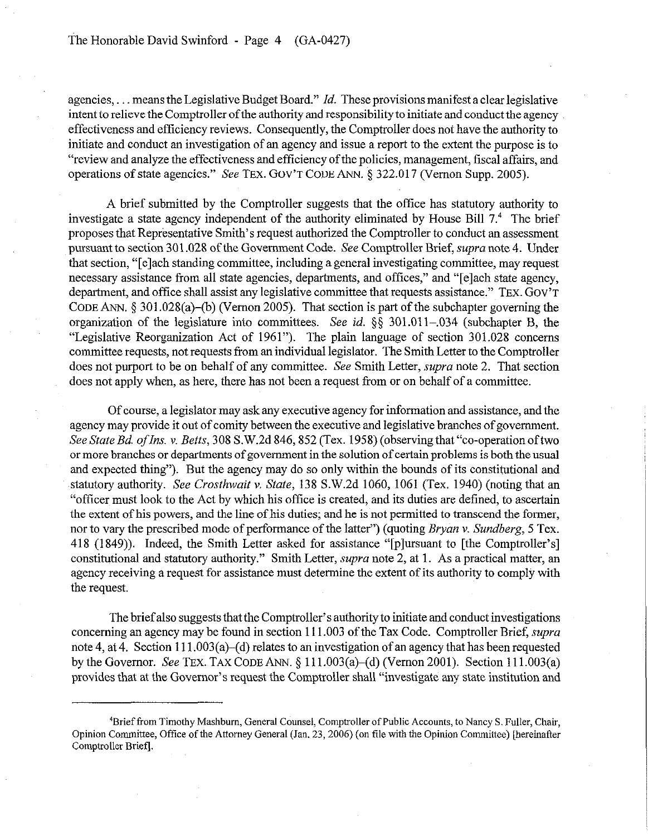agencies, ... means the Legislative Budget Board." *Id.* These provisions manifest a clear legislative intent to relieve the Comptroller of the authority and responsibility to initiate and conduct the agency effectiveness and efficiency reviews. Consequently, the Comptroller does not have the authority to initiate and conduct an investigation of an agency and issue a report to the extent the purpose is to "review and analyze the effectiveness and efficiency of the policies, management, fiscal affairs, and operations of state agencies." See TEX. GOV'T CODE ANN. § 322.017 (Vernon Supp. 2005).

A brief submitted by the Comptroller suggests that the office has statutory authority to investigate a state agency independent of the authority eliminated by House Bill 7.4 The brief proposes that Representative Smith's request authorized the Comptroller to conduct an assessment pursuant to section 301.028 of the Government Code. See Comptroller Brief, supra note 4. Under that section, "[elach standing committee, including a general investigating committee, may request necessary assistance from all state agencies, departments, and offices," and "[e]ach state agency, department, and office shall assist any legislative committee that requests assistance." TEX. GOV'T CODE ANN.  $\S 301.028(a)$ -(b) (Vernon 2005). That section is part of the subchapter governing the organization of the legislature into committees. See *id.* §§ 301.011-.034 (subchapter B, the "Legislative Reorganization Act of 1961"). The plain language of section 301.028 concerns committee requests, not requests from an individual legislator. The Smith Letter to the Comptroller does not purport to be on behalf of any committee. See Smith Letter, *supra* note 2. That section does not apply when, as here, there has not been a request from or on behalf of a committee.

Of course, a legislator may ask any executive agency for information and assistance, and the agency may provide it out of comity between the executive and legislative branches of government. *See State Bd. ofIns. Y. Betts, 308* S.W.2d 846,852 (Tex. 1958) (observing that "co-operation oftwo or more branches or departments of government in the solution of certain problems is both the usual and expected thing"). But the agency may do so only within the bounds of its constitutional and statutory authority. See *Crosthwait* v. *State,* 138 S.W.2d 1060, 1061 (Tex. 1940) (noting that an "offtcer must look to the Act by which his office is created, and its duties are defined, to ascertain the extent of his powers, and the line of his duties; and he is not permitted to transcend the former, nor to vary the prescribed mode of performance of the latter") (quoting *Bryan v. Sundberg, 5* Tex. 418 (1849)). Indeed, the Smith Letter asked for assistance "[plursuant to [the Comptroller's] constitutional and statutory authority." Smith Letter, *supva* note 2, at 1. As a practical matter, an agency receiving a request for assistance must determine the extent of its authority to comply with the request,

The brief also suggests that the Comptroller's authority to initiate and conduct investigations concerning an agency may be found in section 111.003 of the Tax Code. Comptroller Brief, *supra*  note 4, at 4. Section 111.003(a)-(d) relates to an investigation of an agency that has been requested by the Governor. See TEX. TAX CODE ANN. § 111.003(a)-(d) (Vernon 2001). Section 111.003(a) provides that at the Governor's request the Comptroller shall "investigate any state institution and

<sup>&#</sup>x27;Brief from Timothy Mashbum, General Counsel, Comptroller of Public Accounts, to Nancy S. Fuller, Chair, Opinion Committee, Office of the Attorney General (Jan. 23, 2006) (on file with the Opinion Committee) [hereinafter Comptroller Brief].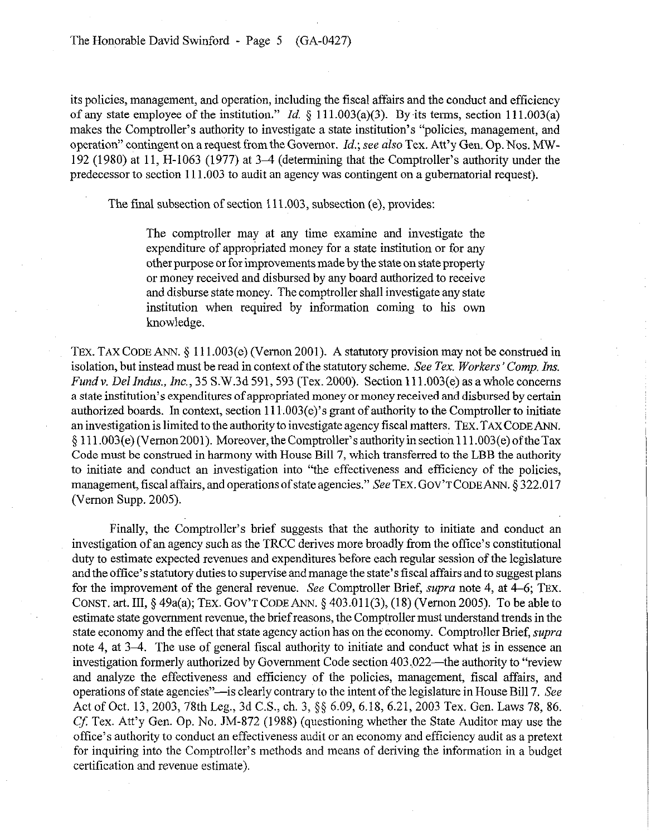The Honorable David Swinford - Page 5 (GA-0427)

its policies, management, and operation, including the fiscal affairs and the conduct and efficiency of any state employee of the institution." *Id.* § 111.003(a)(3). By its terms, section 111.003(a) makes the Comptroller's authority to investigate a state institution's "policies, management, and operation" contingent on a request from the Governor. *Id.; see also* Tex. Att'y Gen. Op. Nos. MW-192 (1980) at 11, H-1063 (1977) at 3-4 (determining that the Comptroller's authority under the predecessor to section 111.003 to audit an agency was contingent on a gubernatorial request).

The final subsection of section 111.003, subsection (e), provides:

The comptroller may at any time examine and investigate the expenditure of appropriated money for a state institution or for any other purpose or for improvements made by the state on state property or money received and disbursed by any board authorized to receive and disburse state money. The comptroller shall investigate any state institution when required by information coming to his own knowledge.

TEX. TAX CODE ANN. § 111.003(e) (Vernon 2001). A statutory provision may not be construed in isolation, but instead must be read in context of the statutory scheme. See *Tex. Workers' Comp. Ins. Fund v. Del Indus., Inc.*, 35 S.W.3d 591, 593 (Tex. 2000). Section 111.003(e) as a whole concerns a state institution's expenditures of appropriated money or money received and disbursed by certain authorized boards. In context, section  $111.003(e)$ 's grant of authority to the Comptroller to initiate an investigation is limited to the authority to investigate agency fiscal matters. TEX. TAX CODE ANN. 5 111.003(e) (Vemon2001). Moreover, theComptroller's authorityinsection 111.003(e) oftheTax Code must be construed in harmony with House Bill 7, which transferred to the LBB the authority to initiate and conduct an investigation into "the effectiveness and efficiency of the policies, management, fiscal affairs, and operations of state agencies." See TEX. GOV'T CODE ANN. § 322.017 (Vernon Supp. 2005).

Finally, the Comptroller's brief suggests that the authority to initiate and conduct an investigation of an agency such as the TRCC derives more broadly from the office's constitutional duty to estimate expected revenues and expenditures before each regular session of the legislature and the office's statutory duties to supervise and manage the state's fiscal affairs and to suggest plans for the improvement of the general revenue. See Comptroller Brief, *supra* note 4, at 4-6; 'Ex. CONST. art. III, § 49a(a); TEX. GOV'T CODE ANN. 5 403.01 l(3), (18) (Vernon 2005). To be able to estimate state government revenue, the brief reasons, the Comptroller must understand trends in the state economy and the effect that state agency action has on the economy. Comptroller Brief, *supra*  note 4, at 3–4. The use of general fiscal authority to initiate and conduct what is in essence an investigation formerly authorized by Government Code section 403.022—the authority to "review and analyze the effectiveness and efficiency of the policies, management, fiscal affairs, and operations of state agencies"—is clearly contrary to the intent of the legislature in House Bill 7. See Act of Oct. 13, 2003, 78th Leg., 3d C.S., ch. 3, §§ 6.09, 6.18, 6.21, 2003 Tex. Gen. Laws 78, 86. Cf: Tex. Att'y Gen. Op. No. JM-872 (1988) (questioning whether the State Auditor may use the office's authority to conduct an effectiveness audit or an economy and efficiency audit as a pretext for inquiring into the Comptroller's methods and means of deriving the information in a budget certification and revenue estimate).